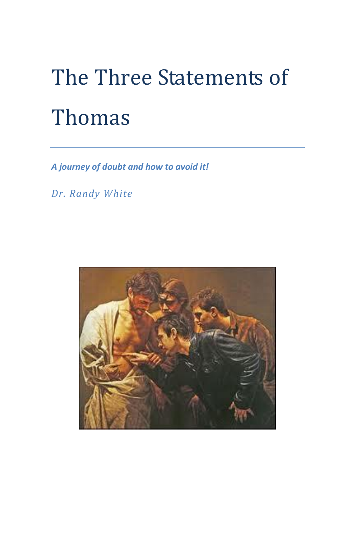# The Three Statements of Thomas

*A journey of doubt and how to avoid it!*

*Dr. Randy White*

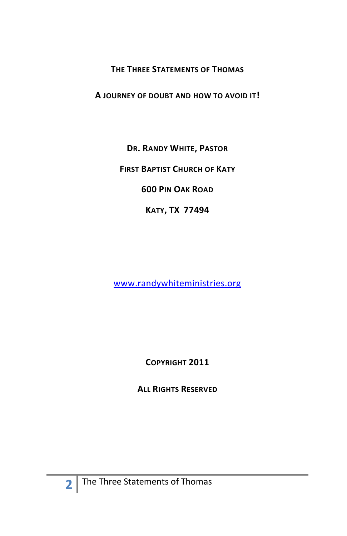#### **THE THREE STATEMENTS OF THOMAS**

**A JOURNEY OF DOUBT AND HOW TO AVOID IT!**

**DR. RANDY WHITE, PASTOR**

**FIRST BAPTIST CHURCH OF KATY**

**600 PIN OAK ROAD**

**KATY, TX 77494**

[www.randywhiteministries.org](http://www.randywhiteministries.org/)

**COPYRIGHT 2011**

**ALL RIGHTS RESERVED**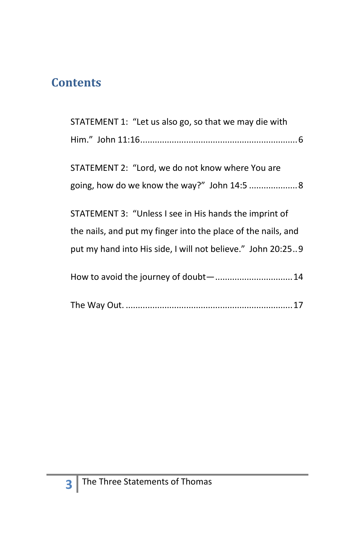#### **Contents**

| STATEMENT 1: "Let us also go, so that we may die with         |
|---------------------------------------------------------------|
|                                                               |
|                                                               |
| STATEMENT 2: "Lord, we do not know where You are              |
| going, how do we know the way?" John 14:5  8                  |
|                                                               |
| STATEMENT 3: "Unless I see in His hands the imprint of        |
| the nails, and put my finger into the place of the nails, and |
| put my hand into His side, I will not believe." John 20:259   |
| How to avoid the journey of doubt- 14                         |
|                                                               |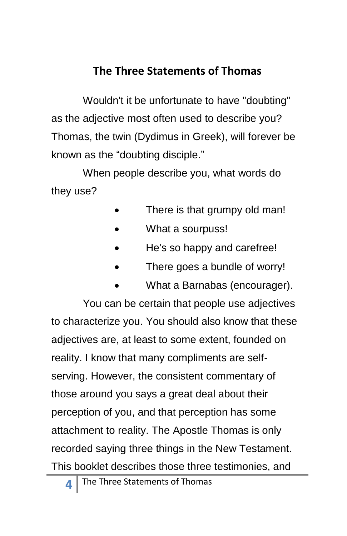#### **The Three Statements of Thomas**

Wouldn't it be unfortunate to have "doubting" as the adjective most often used to describe you? Thomas, the twin (Dydimus in Greek), will forever be known as the "doubting disciple."

When people describe you, what words do they use?

- There is that grumpy old man!
- What a sourpuss!
- He's so happy and carefree!
- There goes a bundle of worry!
- What a Barnabas (encourager).

You can be certain that people use adjectives to characterize you. You should also know that these adjectives are, at least to some extent, founded on reality. I know that many compliments are selfserving. However, the consistent commentary of those around you says a great deal about their perception of you, and that perception has some attachment to reality. The Apostle Thomas is only recorded saying three things in the New Testament. This booklet describes those three testimonies, and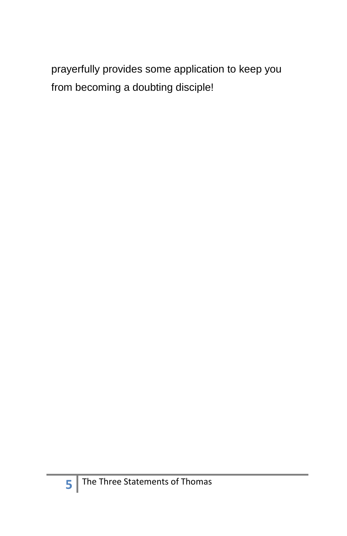prayerfully provides some application to keep you from becoming a doubting disciple!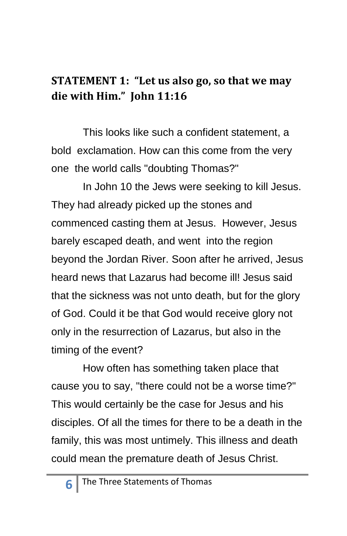#### <span id="page-5-0"></span>**STATEMENT 1: "Let us also go, so that we may die with Him." John 11:16**

This looks like such a confident statement, a bold exclamation. How can this come from the very one the world calls "doubting Thomas?"

In John 10 the Jews were seeking to kill Jesus. They had already picked up the stones and commenced casting them at Jesus. However, Jesus barely escaped death, and went into the region beyond the Jordan River. Soon after he arrived, Jesus heard news that Lazarus had become ill! Jesus said that the sickness was not unto death, but for the glory of God. Could it be that God would receive glory not only in the resurrection of Lazarus, but also in the timing of the event?

How often has something taken place that cause you to say, "there could not be a worse time?" This would certainly be the case for Jesus and his disciples. Of all the times for there to be a death in the family, this was most untimely. This illness and death could mean the premature death of Jesus Christ.

**6**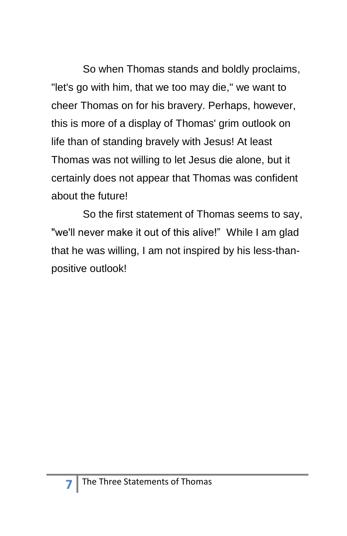So when Thomas stands and boldly proclaims, "let's go with him, that we too may die," we want to cheer Thomas on for his bravery. Perhaps, however, this is more of a display of Thomas' grim outlook on life than of standing bravely with Jesus! At least Thomas was not willing to let Jesus die alone, but it certainly does not appear that Thomas was confident about the future!

So the first statement of Thomas seems to say, "we'll never make it out of this alive!" While I am glad that he was willing, I am not inspired by his less-thanpositive outlook!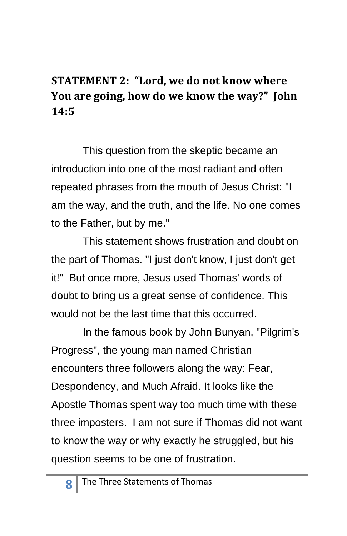### <span id="page-7-0"></span>**STATEMENT 2: "Lord, we do not know where You are going, how do we know the way?" John 14:5**

This question from the skeptic became an introduction into one of the most radiant and often repeated phrases from the mouth of Jesus Christ: "I am the way, and the truth, and the life. No one comes to the Father, but by me."

This statement shows frustration and doubt on the part of Thomas. "I just don't know, I just don't get it!" But once more, Jesus used Thomas' words of doubt to bring us a great sense of confidence. This would not be the last time that this occurred.

In the famous book by John Bunyan, "Pilgrim's Progress", the young man named Christian encounters three followers along the way: Fear, Despondency, and Much Afraid. It looks like the Apostle Thomas spent way too much time with these three imposters. I am not sure if Thomas did not want to know the way or why exactly he struggled, but his question seems to be one of frustration.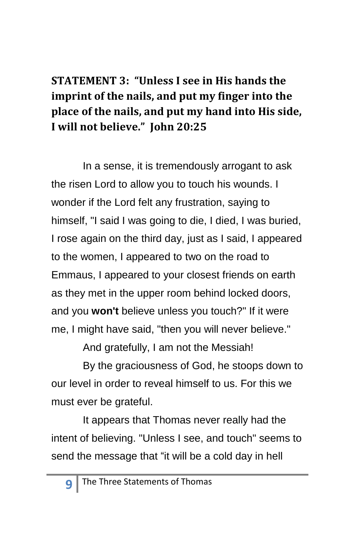## <span id="page-8-0"></span>**STATEMENT 3: "Unless I see in His hands the imprint of the nails, and put my finger into the place of the nails, and put my hand into His side, I will not believe." John 20:25**

In a sense, it is tremendously arrogant to ask the risen Lord to allow you to touch his wounds. I wonder if the Lord felt any frustration, saying to himself, "I said I was going to die, I died, I was buried, I rose again on the third day, just as I said, I appeared to the women, I appeared to two on the road to Emmaus, I appeared to your closest friends on earth as they met in the upper room behind locked doors, and you **won't** believe unless you touch?" If it were me, I might have said, "then you will never believe."

And gratefully, I am not the Messiah!

By the graciousness of God, he stoops down to our level in order to reveal himself to us. For this we must ever be grateful.

It appears that Thomas never really had the intent of believing. "Unless I see, and touch" seems to send the message that "it will be a cold day in hell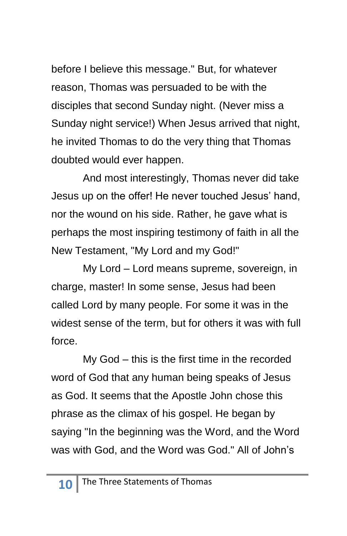before I believe this message." But, for whatever reason, Thomas was persuaded to be with the disciples that second Sunday night. (Never miss a Sunday night service!) When Jesus arrived that night, he invited Thomas to do the very thing that Thomas doubted would ever happen.

And most interestingly, Thomas never did take Jesus up on the offer! He never touched Jesus' hand, nor the wound on his side. Rather, he gave what is perhaps the most inspiring testimony of faith in all the New Testament, "My Lord and my God!"

My Lord – Lord means supreme, sovereign, in charge, master! In some sense, Jesus had been called Lord by many people. For some it was in the widest sense of the term, but for others it was with full force.

My God – this is the first time in the recorded word of God that any human being speaks of Jesus as God. It seems that the Apostle John chose this phrase as the climax of his gospel. He began by saying "In the beginning was the Word, and the Word was with God, and the Word was God." All of John's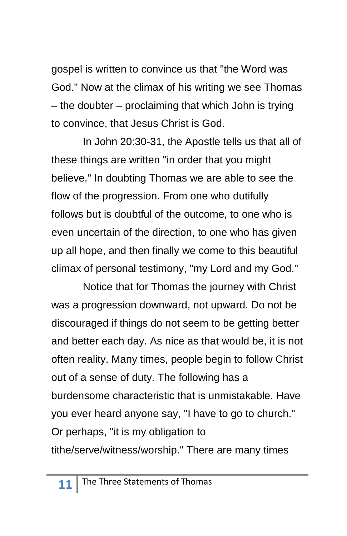gospel is written to convince us that "the Word was God." Now at the climax of his writing we see Thomas – the doubter – proclaiming that which John is trying to convince, that Jesus Christ is God.

In John 20:30-31, the Apostle tells us that all of these things are written "in order that you might believe." In doubting Thomas we are able to see the flow of the progression. From one who dutifully follows but is doubtful of the outcome, to one who is even uncertain of the direction, to one who has given up all hope, and then finally we come to this beautiful climax of personal testimony, "my Lord and my God."

Notice that for Thomas the journey with Christ was a progression downward, not upward. Do not be discouraged if things do not seem to be getting better and better each day. As nice as that would be, it is not often reality. Many times, people begin to follow Christ out of a sense of duty. The following has a burdensome characteristic that is unmistakable. Have you ever heard anyone say, "I have to go to church." Or perhaps, "it is my obligation to tithe/serve/witness/worship." There are many times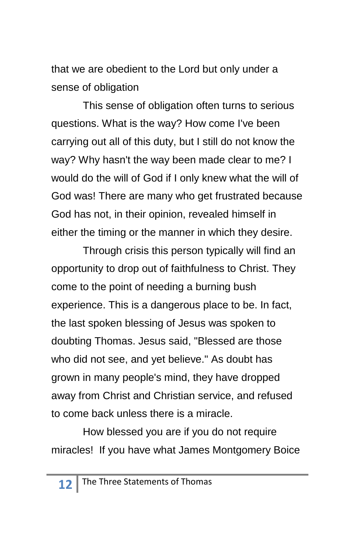that we are obedient to the Lord but only under a sense of obligation

This sense of obligation often turns to serious questions. What is the way? How come I've been carrying out all of this duty, but I still do not know the way? Why hasn't the way been made clear to me? I would do the will of God if I only knew what the will of God was! There are many who get frustrated because God has not, in their opinion, revealed himself in either the timing or the manner in which they desire.

Through crisis this person typically will find an opportunity to drop out of faithfulness to Christ. They come to the point of needing a burning bush experience. This is a dangerous place to be. In fact, the last spoken blessing of Jesus was spoken to doubting Thomas. Jesus said, "Blessed are those who did not see, and yet believe." As doubt has grown in many people's mind, they have dropped away from Christ and Christian service, and refused to come back unless there is a miracle.

How blessed you are if you do not require miracles! If you have what James Montgomery Boice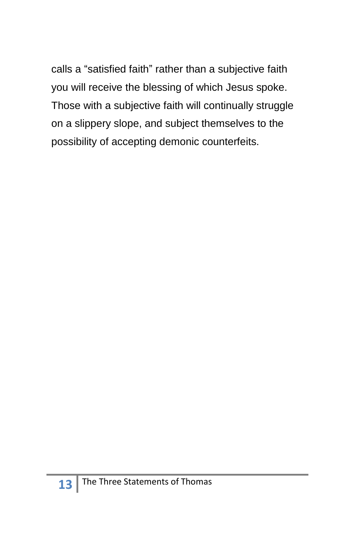calls a "satisfied faith" rather than a subjective faith you will receive the blessing of which Jesus spoke. Those with a subjective faith will continually struggle on a slippery slope, and subject themselves to the possibility of accepting demonic counterfeits.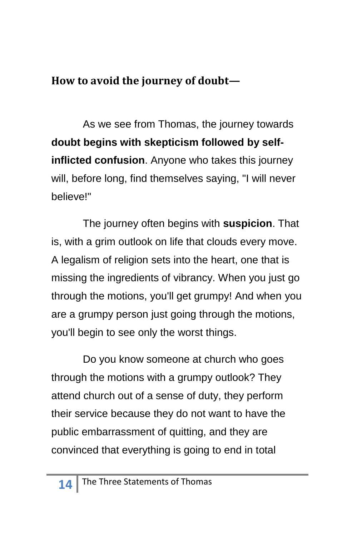### <span id="page-13-0"></span>**How to avoid the journey of doubt—**

As we see from Thomas, the journey towards **doubt begins with skepticism followed by selfinflicted confusion**. Anyone who takes this journey will, before long, find themselves saying, "I will never believe!"

The journey often begins with **suspicion**. That is, with a grim outlook on life that clouds every move. A legalism of religion sets into the heart, one that is missing the ingredients of vibrancy. When you just go through the motions, you'll get grumpy! And when you are a grumpy person just going through the motions, you'll begin to see only the worst things.

Do you know someone at church who goes through the motions with a grumpy outlook? They attend church out of a sense of duty, they perform their service because they do not want to have the public embarrassment of quitting, and they are convinced that everything is going to end in total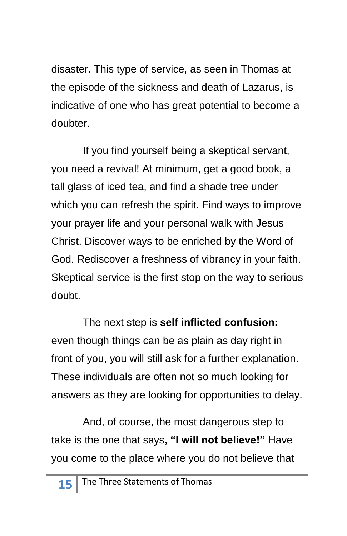disaster. This type of service, as seen in Thomas at the episode of the sickness and death of Lazarus, is indicative of one who has great potential to become a doubter.

If you find yourself being a skeptical servant, you need a revival! At minimum, get a good book, a tall glass of iced tea, and find a shade tree under which you can refresh the spirit. Find ways to improve your prayer life and your personal walk with Jesus Christ. Discover ways to be enriched by the Word of God. Rediscover a freshness of vibrancy in your faith. Skeptical service is the first stop on the way to serious doubt.

The next step is **self inflicted confusion:** even though things can be as plain as day right in front of you, you will still ask for a further explanation. These individuals are often not so much looking for answers as they are looking for opportunities to delay.

And, of course, the most dangerous step to take is the one that says**, "I will not believe!"** Have you come to the place where you do not believe that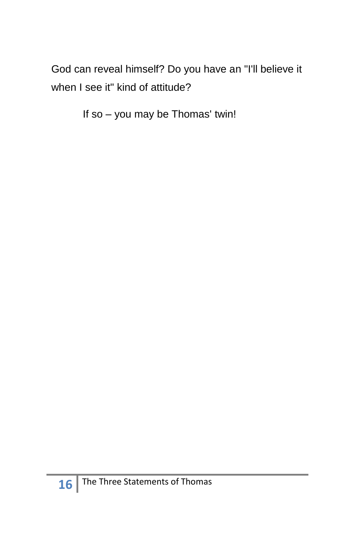God can reveal himself? Do you have an "I'll believe it when I see it" kind of attitude?

If so – you may be Thomas' twin!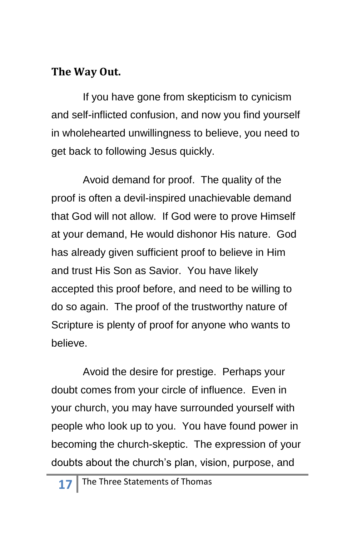#### <span id="page-16-0"></span>**The Way Out.**

If you have gone from skepticism to cynicism and self-inflicted confusion, and now you find yourself in wholehearted unwillingness to believe, you need to get back to following Jesus quickly.

Avoid demand for proof. The quality of the proof is often a devil-inspired unachievable demand that God will not allow. If God were to prove Himself at your demand, He would dishonor His nature. God has already given sufficient proof to believe in Him and trust His Son as Savior. You have likely accepted this proof before, and need to be willing to do so again. The proof of the trustworthy nature of Scripture is plenty of proof for anyone who wants to believe.

Avoid the desire for prestige. Perhaps your doubt comes from your circle of influence. Even in your church, you may have surrounded yourself with people who look up to you. You have found power in becoming the church-skeptic. The expression of your doubts about the church's plan, vision, purpose, and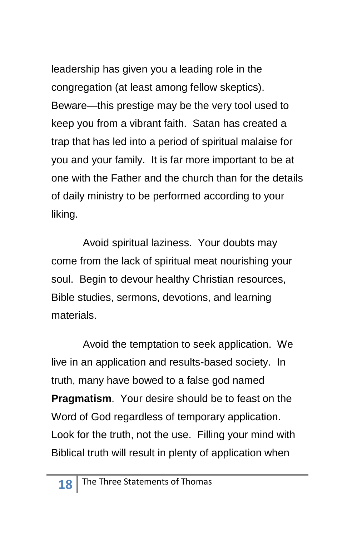leadership has given you a leading role in the congregation (at least among fellow skeptics). Beware—this prestige may be the very tool used to keep you from a vibrant faith. Satan has created a trap that has led into a period of spiritual malaise for you and your family. It is far more important to be at one with the Father and the church than for the details of daily ministry to be performed according to your liking.

Avoid spiritual laziness. Your doubts may come from the lack of spiritual meat nourishing your soul. Begin to devour healthy Christian resources, Bible studies, sermons, devotions, and learning materials.

Avoid the temptation to seek application. We live in an application and results-based society. In truth, many have bowed to a false god named **Pragmatism**. Your desire should be to feast on the Word of God regardless of temporary application. Look for the truth, not the use. Filling your mind with Biblical truth will result in plenty of application when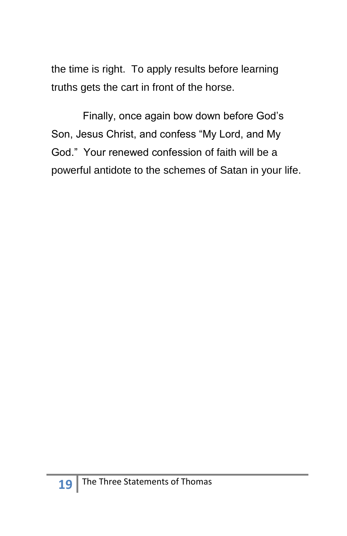the time is right. To apply results before learning truths gets the cart in front of the horse.

Finally, once again bow down before God's Son, Jesus Christ, and confess "My Lord, and My God.‖ Your renewed confession of faith will be a powerful antidote to the schemes of Satan in your life.